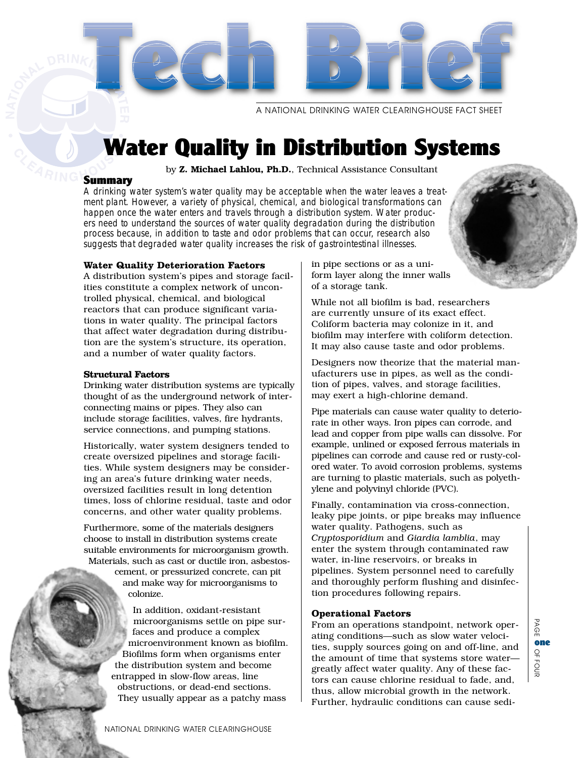A NATIONAL DRINKING WATER CLEARINGHOUSE FACT SHEET

# Water Quality in Distribution Systems

by **Z. Michael Lahlou, Ph.D.**, Technical Assistance Consultant

#### **Summary**

*A drinking water system's water quality may be acceptable when the water leaves a treatment plant. However, a variety of physical, chemical, and biological transformations can happen once the water enters and travels through a distribution system. Water producers need to understand the sources of water quality degradation during the distribution process because, in addition to taste and odor problems that can occur, research also suggests that degraded water quality increases the risk of gastrointestinal illnesses.*

#### **Water Quality Deterioration Factors**

A distribution system's pipes and storage facilities constitute a complex network of uncontrolled physical, chemical, and biological reactors that can produce significant variations in water quality. The principal factors that affect water degradation during distribution are the system's structure, its operation, and a number of water quality factors.

#### **Structural Factors**

Drinking water distribution systems are typically thought of as the underground network of interconnecting mains or pipes. They also can include storage facilities, valves, fire hydrants, service connections, and pumping stations.

Historically, water system designers tended to create oversized pipelines and storage facilities. While system designers may be considering an area's future drinking water needs, oversized facilities result in long detention times, loss of chlorine residual, taste and odor concerns, and other water quality problems.

Furthermore, some of the materials designers choose to install in distribution systems create suitable environments for microorganism growth. Materials, such as cast or ductile iron, asbestos-

> cement, or pressurized concrete, can pit and make way for microorganisms to colonize.

In addition, oxidant-resistant microorganisms settle on pipe surfaces and produce a complex microenvironment known as biofilm. Biofilms form when organisms enter the distribution system and become entrapped in slow-flow areas, line obstructions, or dead-end sections. They usually appear as a patchy mass

in pipe sections or as a uniform layer along the inner walls of a storage tank.

While not all biofilm is bad, researchers are currently unsure of its exact effect. Coliform bacteria may colonize in it, and biofilm may interfere with coliform detection. It may also cause taste and odor problems.

Designers now theorize that the material manufacturers use in pipes, as well as the condition of pipes, valves, and storage facilities, may exert a high-chlorine demand.

Pipe materials can cause water quality to deteriorate in other ways. Iron pipes can corrode, and lead and copper from pipe walls can dissolve. For example, unlined or exposed ferrous materials in pipelines can corrode and cause red or rusty-colored water. To avoid corrosion problems, systems are turning to plastic materials, such as polyethylene and polyvinyl chloride (PVC).

Finally, contamination via cross-connection, leaky pipe joints, or pipe breaks may influence water quality. Pathogens, such as *Cryptosporidium* and *Giardia lamblia*, may enter the system through contaminated raw water, in-line reservoirs, or breaks in pipelines. System personnel need to carefully and thoroughly perform flushing and disinfection procedures following repairs.

#### **Operational Factors**

From an operations standpoint, network operating conditions—such as slow water velocities, supply sources going on and off-line, and the amount of time that systems store water greatly affect water quality. Any of these factors can cause chlorine residual to fade, and, thus, allow microbial growth in the network. Further, hydraulic conditions can cause sedi-

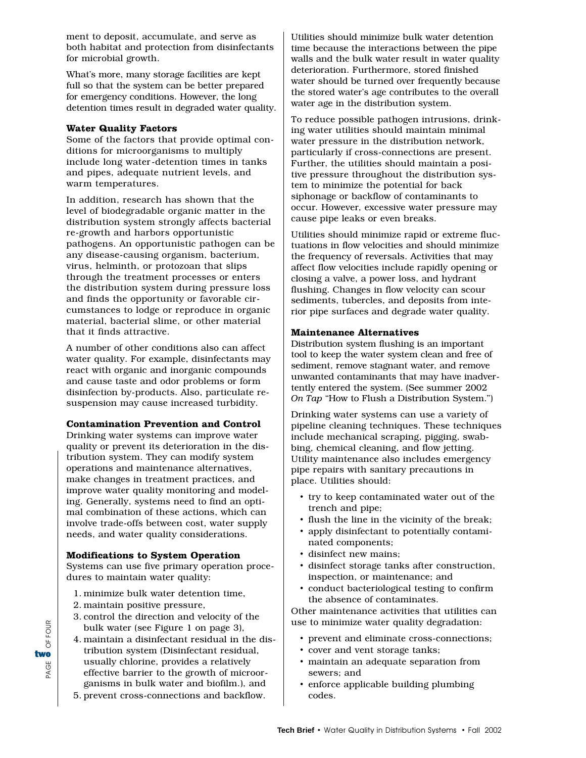ment to deposit, accumulate, and serve as both habitat and protection from disinfectants for microbial growth.

What's more, many storage facilities are kept full so that the system can be better prepared for emergency conditions. However, the long detention times result in degraded water quality.

#### **Water Quality Factors**

Some of the factors that provide optimal conditions for microorganisms to multiply include long water-detention times in tanks and pipes, adequate nutrient levels, and warm temperatures.

In addition, research has shown that the level of biodegradable organic matter in the distribution system strongly affects bacterial re-growth and harbors opportunistic pathogens. An opportunistic pathogen can be any disease-causing organism, bacterium, virus, helminth, or protozoan that slips through the treatment processes or enters the distribution system during pressure loss and finds the opportunity or favorable circumstances to lodge or reproduce in organic material, bacterial slime, or other material that it finds attractive.

A number of other conditions also can affect water quality. For example, disinfectants may react with organic and inorganic compounds and cause taste and odor problems or form disinfection by-products. Also, particulate resuspension may cause increased turbidity.

# **Contamination Prevention and Control**

Drinking water systems can improve water quality or prevent its deterioration in the distribution system. They can modify system operations and maintenance alternatives, make changes in treatment practices, and improve water quality monitoring and modeling. Generally, systems need to find an optimal combination of these actions, which can involve trade-offs between cost, water supply needs, and water quality considerations.

# **Modifications to System Operation**

Systems can use five primary operation procedures to maintain water quality:

- 1. minimize bulk water detention time,
- 2. maintain positive pressure,

PAGE OF FOUR

PAGE

two<br>Co<sup>p</sup> of

- 3. control the direction and velocity of the bulk water (see Figure 1 on page 3),
- 4. maintain a disinfectant residual in the distribution system (Disinfectant residual, usually chlorine, provides a relatively effective barrier to the growth of microorganisms in bulk water and biofilm.), and
- 5. prevent cross-connections and backflow.

Utilities should minimize bulk water detention time because the interactions between the pipe walls and the bulk water result in water quality deterioration. Furthermore, stored finished water should be turned over frequently because the stored water's age contributes to the overall water age in the distribution system.

To reduce possible pathogen intrusions, drinking water utilities should maintain minimal water pressure in the distribution network, particularly if cross-connections are present. Further, the utilities should maintain a positive pressure throughout the distribution system to minimize the potential for back siphonage or backflow of contaminants to occur. However, excessive water pressure may cause pipe leaks or even breaks.

Utilities should minimize rapid or extreme fluctuations in flow velocities and should minimize the frequency of reversals. Activities that may affect flow velocities include rapidly opening or closing a valve, a power loss, and hydrant flushing. Changes in flow velocity can scour sediments, tubercles, and deposits from interior pipe surfaces and degrade water quality.

#### **Maintenance Alternatives**

Distribution system flushing is an important tool to keep the water system clean and free of sediment, remove stagnant water, and remove unwanted contaminants that may have inadvertently entered the system. (See summer 2002 *On Tap* "How to Flush a Distribution System.")

Drinking water systems can use a variety of pipeline cleaning techniques. These techniques include mechanical scraping, pigging, swabbing, chemical cleaning, and flow jetting. Utility maintenance also includes emergency pipe repairs with sanitary precautions in place. Utilities should:

- try to keep contaminated water out of the trench and pipe;
- flush the line in the vicinity of the break;
- apply disinfectant to potentially contaminated components;
- disinfect new mains;
- disinfect storage tanks after construction, inspection, or maintenance; and
- conduct bacteriological testing to confirm the absence of contaminates.

Other maintenance activities that utilities can use to minimize water quality degradation:

- prevent and eliminate cross-connections;
- cover and vent storage tanks;
- maintain an adequate separation from sewers; and
- enforce applicable building plumbing codes.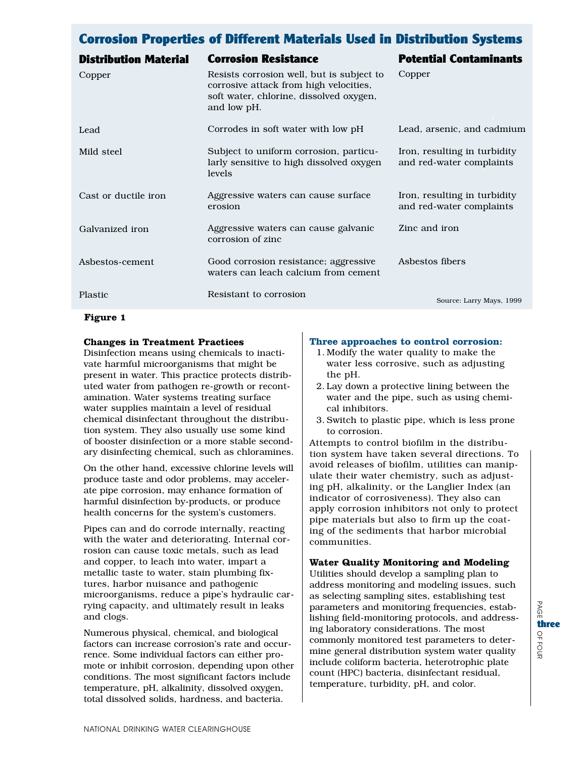# Corrosion Properties of Different Materials Used in Distribution Systems

| <b>Distribution Material</b> | <b>Corrosion Resistance</b>                                                                                                                   | <b>Potential Contaminants</b>                            |
|------------------------------|-----------------------------------------------------------------------------------------------------------------------------------------------|----------------------------------------------------------|
| Copper                       | Resists corrosion well, but is subject to<br>corrosive attack from high velocities,<br>soft water, chlorine, dissolved oxygen,<br>and low pH. | Copper                                                   |
| Lead                         | Corrodes in soft water with low pH                                                                                                            | Lead, arsenic, and cadmium                               |
| Mild steel                   | Subject to uniform corrosion, particu-<br>larly sensitive to high dissolved oxygen<br>levels                                                  | Iron, resulting in turbidity<br>and red-water complaints |
| Cast or ductile iron         | Aggressive waters can cause surface<br>erosion                                                                                                | Iron, resulting in turbidity<br>and red-water complaints |
| Galvanized iron              | Aggressive waters can cause galvanic<br>corrosion of zinc                                                                                     | Zinc and iron                                            |
| Asbestos-cement              | Good corrosion resistance; aggressive<br>waters can leach calcium from cement                                                                 | Asbestos fibers                                          |
| Plastic                      | Resistant to corrosion                                                                                                                        | Source: Larry Mays, 1999                                 |
|                              |                                                                                                                                               |                                                          |

#### **Figure 1**

#### **Changes in Treatment Practices**

Disinfection means using chemicals to inactivate harmful microorganisms that might be present in water. This practice protects distributed water from pathogen re-growth or recontamination. Water systems treating surface water supplies maintain a level of residual chemical disinfectant throughout the distribution system. They also usually use some kind of booster disinfection or a more stable secondary disinfecting chemical, such as chloramines.

On the other hand, excessive chlorine levels will produce taste and odor problems, may accelerate pipe corrosion, may enhance formation of harmful disinfection by-products, or produce health concerns for the system's customers.

Pipes can and do corrode internally, reacting with the water and deteriorating. Internal corrosion can cause toxic metals, such as lead and copper, to leach into water, impart a metallic taste to water, stain plumbing fixtures, harbor nuisance and pathogenic microorganisms, reduce a pipe's hydraulic carrying capacity, and ultimately result in leaks and clogs.

Numerous physical, chemical, and biological factors can increase corrosion's rate and occurrence. Some individual factors can either promote or inhibit corrosion, depending upon other conditions. The most significant factors include temperature, pH, alkalinity, dissolved oxygen, total dissolved solids, hardness, and bacteria.

#### **Three approaches to control corrosion:**

- 1. Modify the water quality to make the water less corrosive, such as adjusting the pH.
- 2. Lay down a protective lining between the water and the pipe, such as using chemical inhibitors.
- 3. Switch to plastic pipe, which is less prone to corrosion.

Attempts to control biofilm in the distribution system have taken several directions. To avoid releases of biofilm, utilities can manipulate their water chemistry, such as adjusting pH, alkalinity, or the Langlier Index (an indicator of corrosiveness). They also can apply corrosion inhibitors not only to protect pipe materials but also to firm up the coating of the sediments that harbor microbial communities.

# **Water Quality Monitoring and Modeling**

Utilities should develop a sampling plan to address monitoring and modeling issues, such as selecting sampling sites, establishing test parameters and monitoring frequencies, establishing field-monitoring protocols, and addressing laboratory considerations. The most commonly monitored test parameters to determine general distribution system water quality include coliform bacteria, heterotrophic plate count (HPC) bacteria, disinfectant residual, temperature, turbidity, pH, and color.